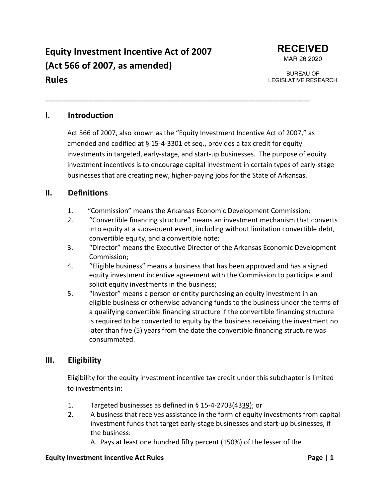# **Equity Investment Incentive Act of 2007 (Act 566 of 2007, as amended) Rules**



BUREAU OF LEGISLATIVE RESEARCH

### **I. Introduction**

Act 566 of 2007, also known as the "Equity Investment Incentive Act of 2007," as amended and codified at § 15-4-3301 et seq., provides a tax credit for equity investments in targeted, early-stage, and start-up businesses. The purpose of equity investment incentives is to encourage capital investment in certain types of early-stage businesses that are creating new, higher-paying jobs for the State of Arkansas.

### **II. Definitions**

1. "Commission" means the Arkansas Economic Development Commission;

**\_\_\_\_\_\_\_\_\_\_\_\_\_\_\_\_\_\_\_\_\_\_\_\_\_\_\_\_\_\_\_\_\_\_\_\_\_\_\_\_\_\_\_\_\_\_\_\_\_\_\_\_\_\_\_\_\_\_\_\_\_\_\_\_\_\_\_\_\_\_\_\_\_\_\_\_\_**

- 2. "Convertible financing structure" means an investment mechanism that converts into equity at a subsequent event, including without limitation convertible debt, convertible equity, and a convertible note;
- 3. "Director" means the Executive Director of the Arkansas Economic Development Commission;
- 4. "Eligible business" means a business that has been approved and has a signed equity investment incentive agreement with the Commission to participate and solicit equity investments in the business;
- 5. "Investor" means a person or entity purchasing an equity investment in an eligible business or otherwise advancing funds to the business under the terms of a qualifying convertible financing structure if the convertible financing structure is required to be converted to equity by the business receiving the investment no later than five (5) years from the date the convertible financing structure was consummated.

### **III. Eligibility**

Eligibility for the equity investment incentive tax credit under this subchapter is limited to investments in:

- 1. Targeted businesses as defined in § 15-4-2703(4339); or
- 2. A business that receives assistance in the form of equity investments from capital investment funds that target early-stage businesses and start-up businesses, if the business:

A. Pays at least one hundred fifty percent (150%) of the lesser of the

#### **Equity Investment Incentive Act Rules Page | 1**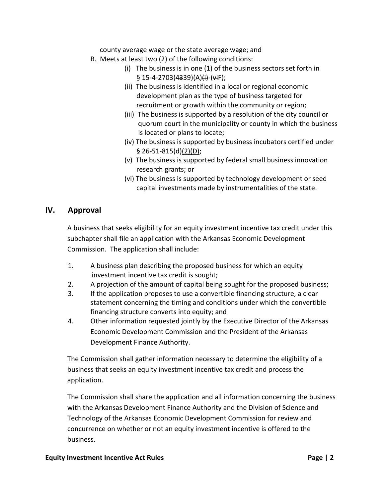county average wage or the state average wage; and

- B. Meets at least two (2) of the following conditions:
	- (i) The business is in one (1) of the business sectors set forth in  $§ 15-4-2703(4339)(A)$ (i)-(viF);
	- (ii) The business is identified in a local or regional economic development plan as the type of business targeted for recruitment or growth within the community or region;
	- (iii) The business is supported by a resolution of the city council or quorum court in the municipality or county in which the business is located or plans to locate;
	- (iv) The business is supported by business incubators certified under § 26-51-815(d)(2)(D);
	- (v) The business is supported by federal small business innovation research grants; or
	- (vi) The business is supported by technology development or seed capital investments made by instrumentalities of the state.

## **IV. Approval**

A business that seeks eligibility for an equity investment incentive tax credit under this subchapter shall file an application with the Arkansas Economic Development Commission. The application shall include:

- 1. A business plan describing the proposed business for which an equity investment incentive tax credit is sought;
- 2. A projection of the amount of capital being sought for the proposed business;
- 3. If the application proposes to use a convertible financing structure, a clear statement concerning the timing and conditions under which the convertible financing structure converts into equity; and
- 4. Other information requested jointly by the Executive Director of the Arkansas Economic Development Commission and the President of the Arkansas Development Finance Authority.

The Commission shall gather information necessary to determine the eligibility of a business that seeks an equity investment incentive tax credit and process the application.

The Commission shall share the application and all information concerning the business with the Arkansas Development Finance Authority and the Division of Science and Technology of the Arkansas Economic Development Commission for review and concurrence on whether or not an equity investment incentive is offered to the business.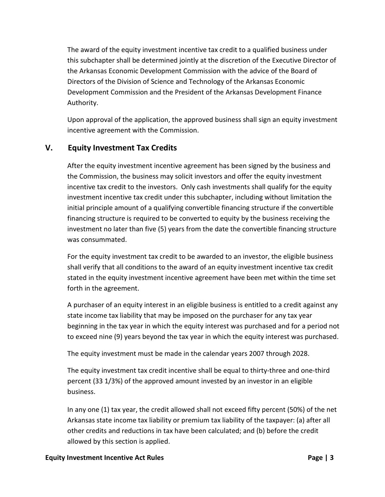The award of the equity investment incentive tax credit to a qualified business under this subchapter shall be determined jointly at the discretion of the Executive Director of the Arkansas Economic Development Commission with the advice of the Board of Directors of the Division of Science and Technology of the Arkansas Economic Development Commission and the President of the Arkansas Development Finance Authority.

Upon approval of the application, the approved business shall sign an equity investment incentive agreement with the Commission.

## **V. Equity Investment Tax Credits**

After the equity investment incentive agreement has been signed by the business and the Commission, the business may solicit investors and offer the equity investment incentive tax credit to the investors. Only cash investments shall qualify for the equity investment incentive tax credit under this subchapter, including without limitation the initial principle amount of a qualifying convertible financing structure if the convertible financing structure is required to be converted to equity by the business receiving the investment no later than five (5) years from the date the convertible financing structure was consummated.

For the equity investment tax credit to be awarded to an investor, the eligible business shall verify that all conditions to the award of an equity investment incentive tax credit stated in the equity investment incentive agreement have been met within the time set forth in the agreement.

A purchaser of an equity interest in an eligible business is entitled to a credit against any state income tax liability that may be imposed on the purchaser for any tax year beginning in the tax year in which the equity interest was purchased and for a period not to exceed nine (9) years beyond the tax year in which the equity interest was purchased.

The equity investment must be made in the calendar years 2007 through 2028.

The equity investment tax credit incentive shall be equal to thirty-three and one-third percent (33 1/3%) of the approved amount invested by an investor in an eligible business.

In any one (1) tax year, the credit allowed shall not exceed fifty percent (50%) of the net Arkansas state income tax liability or premium tax liability of the taxpayer: (a) after all other credits and reductions in tax have been calculated; and (b) before the credit allowed by this section is applied.

#### **Equity Investment Incentive Act Rules Page | 3**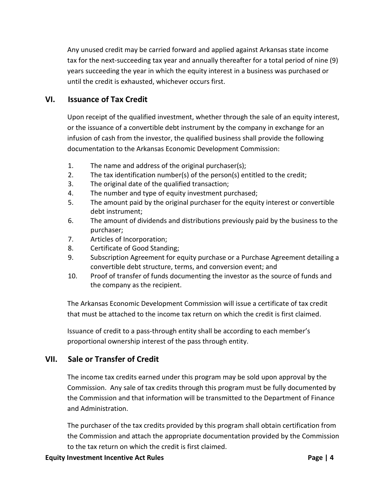Any unused credit may be carried forward and applied against Arkansas state income tax for the next-succeeding tax year and annually thereafter for a total period of nine (9) years succeeding the year in which the equity interest in a business was purchased or until the credit is exhausted, whichever occurs first.

## **VI. Issuance of Tax Credit**

Upon receipt of the qualified investment, whether through the sale of an equity interest, or the issuance of a convertible debt instrument by the company in exchange for an infusion of cash from the investor, the qualified business shall provide the following documentation to the Arkansas Economic Development Commission:

- 1. The name and address of the original purchaser(s);
- 2. The tax identification number(s) of the person(s) entitled to the credit;
- 3. The original date of the qualified transaction;
- 4. The number and type of equity investment purchased;
- 5. The amount paid by the original purchaser for the equity interest or convertible debt instrument;
- 6. The amount of dividends and distributions previously paid by the business to the purchaser;
- 7. Articles of Incorporation;
- 8. Certificate of Good Standing;
- 9. Subscription Agreement for equity purchase or a Purchase Agreement detailing a convertible debt structure, terms, and conversion event; and
- 10. Proof of transfer of funds documenting the investor as the source of funds and the company as the recipient.

The Arkansas Economic Development Commission will issue a certificate of tax credit that must be attached to the income tax return on which the credit is first claimed.

Issuance of credit to a pass-through entity shall be according to each member's proportional ownership interest of the pass through entity.

# **VII. Sale or Transfer of Credit**

The income tax credits earned under this program may be sold upon approval by the Commission. Any sale of tax credits through this program must be fully documented by the Commission and that information will be transmitted to the Department of Finance and Administration.

The purchaser of the tax credits provided by this program shall obtain certification from the Commission and attach the appropriate documentation provided by the Commission to the tax return on which the credit is first claimed.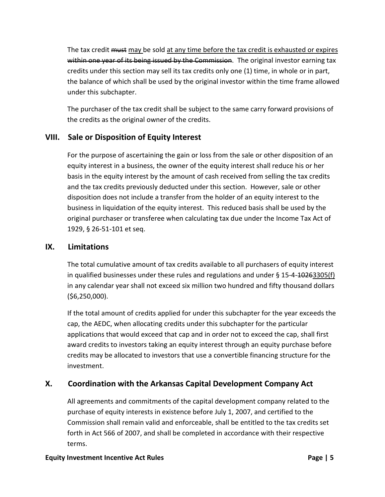The tax credit must may be sold at any time before the tax credit is exhausted or expires within one year of its being issued by the Commission. The original investor earning tax credits under this section may sell its tax credits only one (1) time, in whole or in part, the balance of which shall be used by the original investor within the time frame allowed under this subchapter.

The purchaser of the tax credit shall be subject to the same carry forward provisions of the credits as the original owner of the credits.

# **VIII. Sale or Disposition of Equity Interest**

For the purpose of ascertaining the gain or loss from the sale or other disposition of an equity interest in a business, the owner of the equity interest shall reduce his or her basis in the equity interest by the amount of cash received from selling the tax credits and the tax credits previously deducted under this section. However, sale or other disposition does not include a transfer from the holder of an equity interest to the business in liquidation of the equity interest. This reduced basis shall be used by the original purchaser or transferee when calculating tax due under the Income Tax Act of 1929, § 26-51-101 et seq.

## **IX. Limitations**

The total cumulative amount of tax credits available to all purchasers of equity interest in qualified businesses under these rules and regulations and under  $\S$  15-4-10263305(f) in any calendar year shall not exceed six million two hundred and fifty thousand dollars (\$6,250,000).

If the total amount of credits applied for under this subchapter for the year exceeds the cap, the AEDC, when allocating credits under this subchapter for the particular applications that would exceed that cap and in order not to exceed the cap, shall first award credits to investors taking an equity interest through an equity purchase before credits may be allocated to investors that use a convertible financing structure for the investment.

# **X. Coordination with the Arkansas Capital Development Company Act**

All agreements and commitments of the capital development company related to the purchase of equity interests in existence before July 1, 2007, and certified to the Commission shall remain valid and enforceable, shall be entitled to the tax credits set forth in Act 566 of 2007, and shall be completed in accordance with their respective terms.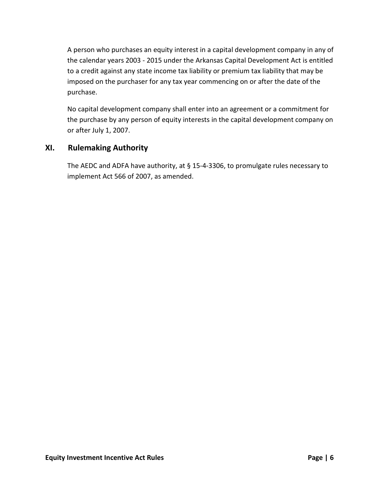A person who purchases an equity interest in a capital development company in any of the calendar years 2003 - 2015 under the Arkansas Capital Development Act is entitled to a credit against any state income tax liability or premium tax liability that may be imposed on the purchaser for any tax year commencing on or after the date of the purchase.

No capital development company shall enter into an agreement or a commitment for the purchase by any person of equity interests in the capital development company on or after July 1, 2007.

### **XI. Rulemaking Authority**

The AEDC and ADFA have authority, at § 15-4-3306, to promulgate rules necessary to implement Act 566 of 2007, as amended.